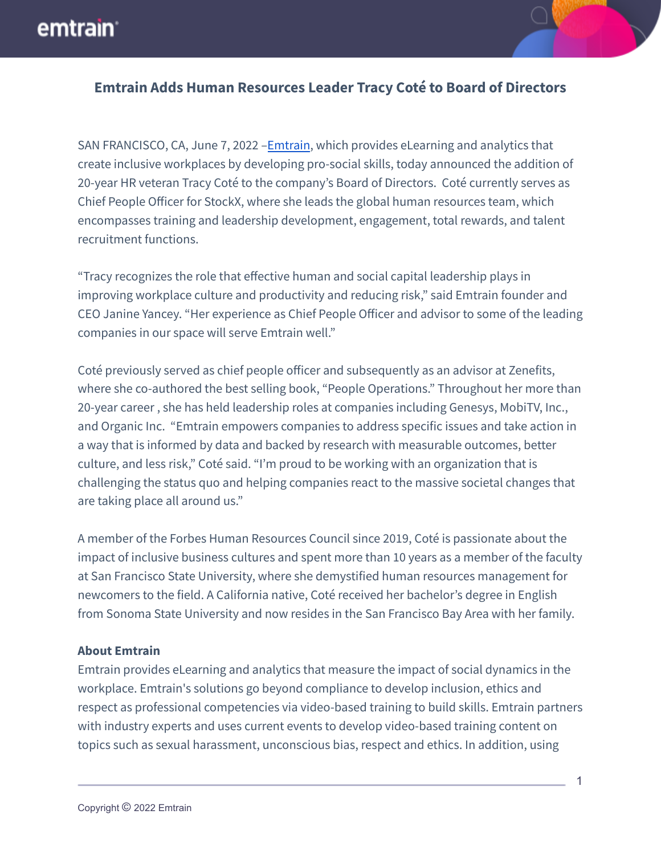## emtrain<sup>®</sup>



## **Emtrain Adds Human Resources Leader Tracy Coté to Board of Directors**

SAN FRANCISCO, CA, June 7, 2022 – [Emtrain](https://emtrain.com/), which provides eLearning and analytics that create inclusive workplaces by developing pro-social skills, today announced the addition of 20-year HR veteran Tracy Coté to the company's Board of Directors. Coté currently serves as Chief People Officer for StockX, where she leads the global human resources team, which encompasses training and leadership development, engagement, total rewards, and talent recruitment functions.

"Tracy recognizes the role that effective human and social capital leadership plays in improving workplace culture and productivity and reducing risk," said Emtrain founder and CEO Janine Yancey. "Her experience as Chief People Officer and advisor to some of the leading companies in our space will serve Emtrain well."

Coté previously served as chief people officer and subsequently as an advisor at Zenefits, where she co-authored the best selling book, "People Operations." Throughout her more than 20-year career , she has held leadership roles at companies including Genesys, MobiTV, Inc., and Organic Inc. "Emtrain empowers companies to address specific issues and take action in a way that is informed by data and backed by research with measurable outcomes, better culture, and less risk," Coté said. "I'm proud to be working with an organization that is challenging the status quo and helping companies react to the massive societal changes that are taking place all around us."

A member of the Forbes Human Resources Council since 2019, Coté is passionate about the impact of inclusive business cultures and spent more than 10 years as a member of the faculty at San Francisco State University, where she demystified human resources management for newcomers to the field. A California native, Coté received her bachelor's degree in English from Sonoma State University and now resides in the San Francisco Bay Area with her family.

## **About Emtrain**

Emtrain provides eLearning and analytics that measure the impact of social dynamics in the workplace. Emtrain's solutions go beyond compliance to develop inclusion, ethics and respect as professional competencies via video-based training to build skills. Emtrain partners with industry experts and uses current events to develop video-based training content on topics such as sexual harassment, unconscious bias, respect and ethics. In addition, using